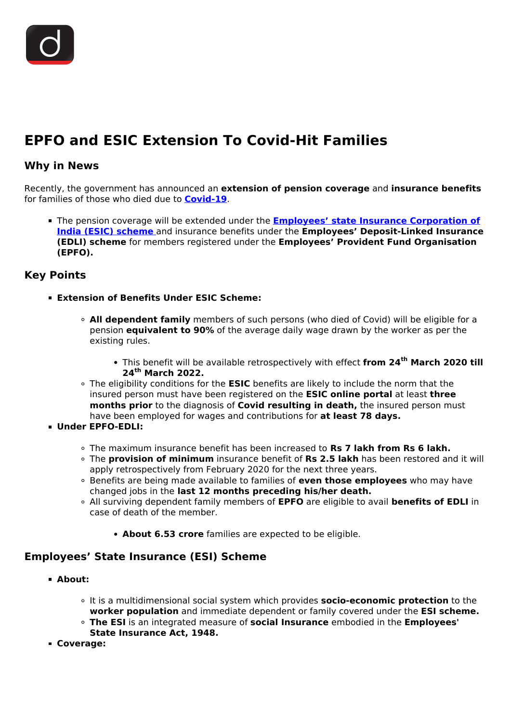

# **EPFO and ESIC Extension To Covid-Hit Families**

### **Why in News**

Recently, the government has announced an **extension of pension coverage** and **insurance benefits** for families of those who died due to **[Covid-19](/daily-updates/daily-news-editorials/comprehensive-action-plan-for-covid-19)**.

The pension coverage will be extended under the **[Employees' state Insurance Corporation of](/daily-updates/daily-news-analysis/esic-funds) [India \(ESIC\) scheme](/daily-updates/daily-news-analysis/esic-funds)** and insurance benefits under the **Employees' Deposit-Linked Insurance (EDLI) scheme** for members registered under the **Employees' Provident Fund Organisation (EPFO).**

#### **Key Points**

- **Extension of Benefits Under ESIC Scheme:**
	- **All dependent family** members of such persons (who died of Covid) will be eligible for a pension **equivalent to 90%** of the average daily wage drawn by the worker as per the existing rules.
		- This benefit will be available retrospectively with effect **from 24th March 2020 till 24th March 2022.**
	- The eligibility conditions for the **ESIC** benefits are likely to include the norm that the insured person must have been registered on the **ESIC online portal** at least **three months prior** to the diagnosis of **Covid resulting in death,** the insured person must have been employed for wages and contributions for **at least 78 days.**
- **Under EPFO-EDLI:**
	- The maximum insurance benefit has been increased to **Rs 7 lakh from Rs 6 lakh.**
	- The **provision of minimum** insurance benefit of **Rs 2.5 lakh** has been restored and it will apply retrospectively from February 2020 for the next three years.
	- Benefits are being made available to families of **even those employees** who may have changed jobs in the **last 12 months preceding his/her death.**
	- All surviving dependent family members of **EPFO** are eligible to avail **benefits of EDLI** in case of death of the member.
		- **About 6.53 crore** families are expected to be eligible.

## **Employees' State Insurance (ESI) Scheme**

- **About:**
	- It is a multidimensional social system which provides **socio-economic protection** to the **worker population** and immediate dependent or family covered under the **ESI scheme.**
	- **The ESI** is an integrated measure of **social Insurance** embodied in the **Employees'**
	- **State Insurance Act, 1948.**
- **Coverage:**